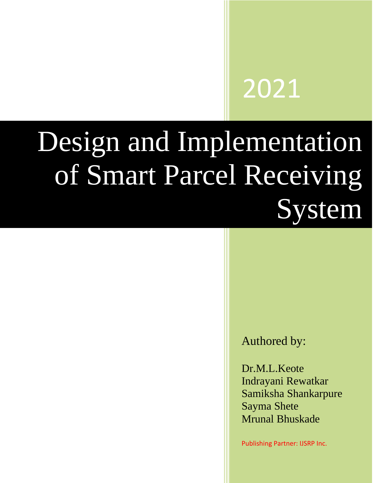# 2021

# Design and Implementation of Smart Parcel Receiving System

# Authored by:

Dr.M.L.Keote Indrayani Rewatkar Samiksha Shankarpure Sayma Shete Mrunal Bhuskade

Publishing Partner: IJSRP Inc.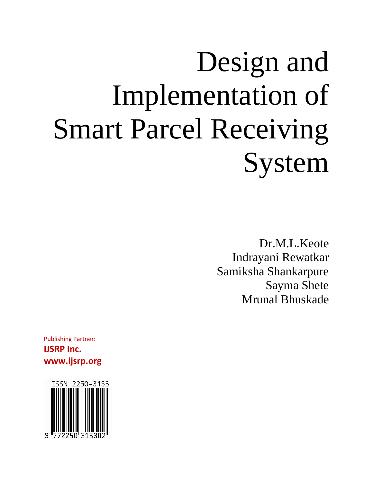# Design and Implementation of Smart Parcel Receiving System

Dr.M.L.Keote Indrayani Rewatkar Samiksha Shankarpure Sayma Shete Mrunal Bhuskade

Publishing Partner: **IJSRP Inc. www.ijsrp.org**

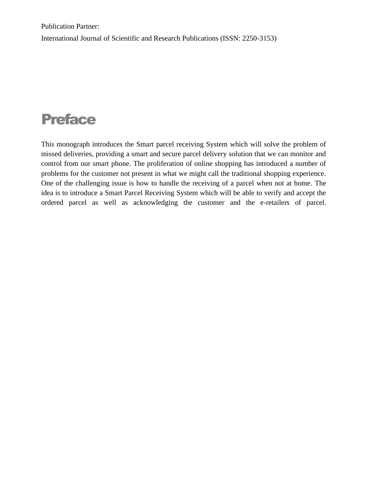Publication Partner: International Journal of Scientific and Research Publications (ISSN: 2250-3153)

# Preface

This monograph introduces the Smart parcel receiving System which will solve the problem of missed deliveries, providing a smart and secure parcel delivery solution that we can monitor and control from our smart phone. The proliferation of online shopping has introduced a number of problems for the customer not present in what we might call the traditional shopping experience. One of the challenging issue is how to handle the receiving of a parcel when not at home. The idea is to introduce a Smart Parcel Receiving System which will be able to verify and accept the ordered parcel as well as acknowledging the customer and the e-retailers of parcel.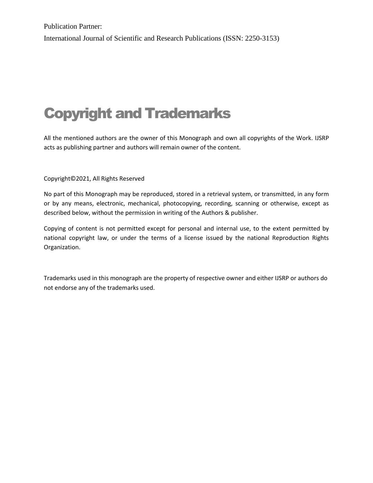Publication Partner: International Journal of Scientific and Research Publications (ISSN: 2250-3153)

# Copyright and Trademarks

All the mentioned authors are the owner of this Monograph and own all copyrights of the Work. IJSRP acts as publishing partner and authors will remain owner of the content.

#### Copyright©2021, All Rights Reserved

No part of this Monograph may be reproduced, stored in a retrieval system, or transmitted, in any form or by any means, electronic, mechanical, photocopying, recording, scanning or otherwise, except as described below, without the permission in writing of the Authors & publisher.

Copying of content is not permitted except for personal and internal use, to the extent permitted by national copyright law, or under the terms of a license issued by the national Reproduction Rights Organization.

Trademarks used in this monograph are the property of respective owner and either IJSRP or authors do not endorse any of the trademarks used.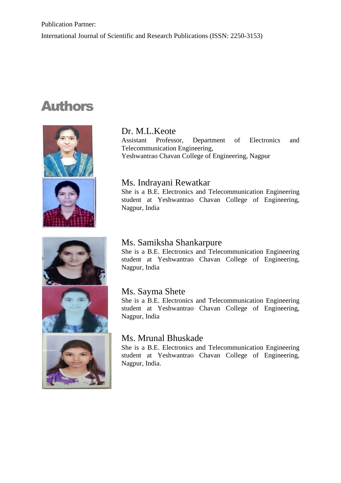# Authors







# Dr. M.L.Keote

Assistant Professor, Department of Electronics and Telecommunication Engineering, Yeshwantrao Chavan College of Engineering, Nagpur

# Ms. Indrayani Rewatkar

She is a B.E. Electronics and Telecommunication Engineering student at Yeshwantrao Chavan College of Engineering, Nagpur, India

# Ms. Samiksha Shankarpure

She is a B.E. Electronics and Telecommunication Engineering student at Yeshwantrao Chavan College of Engineering, Nagpur, India

# Ms. Sayma Shete

She is a B.E. Electronics and Telecommunication Engineering student at Yeshwantrao Chavan College of Engineering, Nagpur, India

# Ms. Mrunal Bhuskade

She is a B.E. Electronics and Telecommunication Engineering student at Yeshwantrao Chavan College of Engineering, Nagpur, India.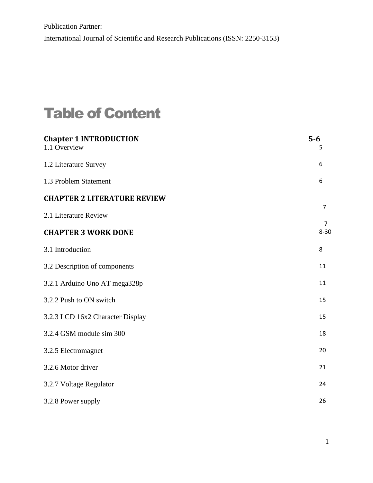# Table of Content

| <b>Chapter 1 INTRODUCTION</b><br>1.1 Overview | $5-6$<br>5                 |
|-----------------------------------------------|----------------------------|
| 1.2 Literature Survey                         | 6                          |
| 1.3 Problem Statement                         | 6                          |
| <b>CHAPTER 2 LITERATURE REVIEW</b>            | $\overline{7}$             |
| 2.1 Literature Review                         |                            |
| <b>CHAPTER 3 WORK DONE</b>                    | $\overline{7}$<br>$8 - 30$ |
| 3.1 Introduction                              | 8                          |
| 3.2 Description of components                 | 11                         |
| 3.2.1 Arduino Uno AT mega328p                 | 11                         |
| 3.2.2 Push to ON switch                       | 15                         |
| 3.2.3 LCD 16x2 Character Display              | 15                         |
| 3.2.4 GSM module sim 300                      | 18                         |
| 3.2.5 Electromagnet                           | 20                         |
| 3.2.6 Motor driver                            | 21                         |
| 3.2.7 Voltage Regulator                       | 24                         |
| 3.2.8 Power supply                            | 26                         |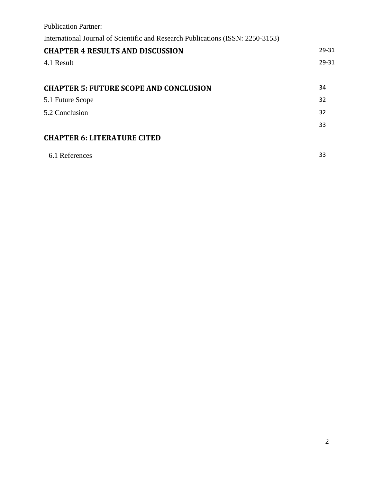| <b>Publication Partner:</b>                                                     |       |  |
|---------------------------------------------------------------------------------|-------|--|
| International Journal of Scientific and Research Publications (ISSN: 2250-3153) |       |  |
| <b>CHAPTER 4 RESULTS AND DISCUSSION</b>                                         | 29-31 |  |
| 4.1 Result                                                                      | 29-31 |  |
|                                                                                 |       |  |
| <b>CHAPTER 5: FUTURE SCOPE AND CONCLUSION</b>                                   |       |  |
| 5.1 Future Scope                                                                | 32    |  |
| 5.2 Conclusion                                                                  |       |  |
|                                                                                 | 33    |  |
| <b>CHAPTER 6: LITERATURE CITED</b>                                              |       |  |
| 6.1 References                                                                  | 33    |  |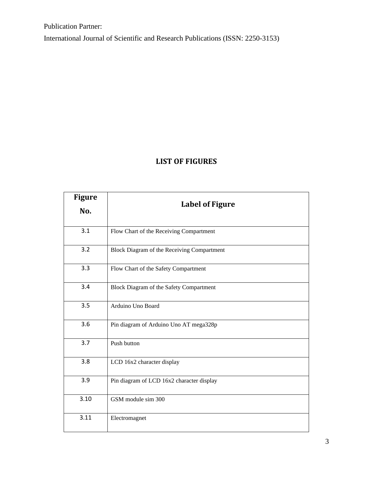International Journal of Scientific and Research Publications (ISSN: 2250-3153)

# **LIST OF FIGURES**

| <b>Figure</b> |                                            |  |  |
|---------------|--------------------------------------------|--|--|
| No.           | <b>Label of Figure</b>                     |  |  |
| 3.1           | Flow Chart of the Receiving Compartment    |  |  |
| 3.2           | Block Diagram of the Receiving Compartment |  |  |
| 3.3           | Flow Chart of the Safety Compartment       |  |  |
| 3.4           | Block Diagram of the Safety Compartment    |  |  |
| 3.5           | Arduino Uno Board                          |  |  |
| 3.6           | Pin diagram of Arduino Uno AT mega328p     |  |  |
| 3.7           | Push button                                |  |  |
| 3.8           | LCD 16x2 character display                 |  |  |
| 3.9           | Pin diagram of LCD 16x2 character display  |  |  |
| 3.10          | GSM module sim 300                         |  |  |
| 3.11          | Electromagnet                              |  |  |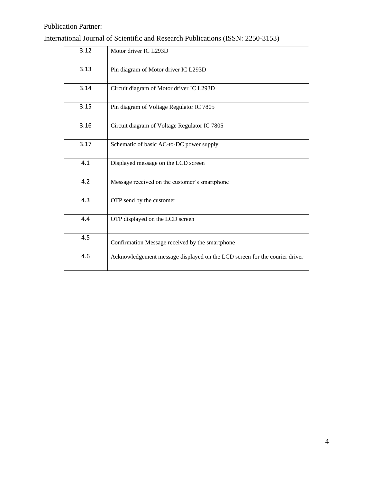$\overline{a}$ 

| 3.12 | Motor driver IC L293D                                                      |
|------|----------------------------------------------------------------------------|
| 3.13 | Pin diagram of Motor driver IC L293D                                       |
| 3.14 | Circuit diagram of Motor driver IC L293D                                   |
| 3.15 | Pin diagram of Voltage Regulator IC 7805                                   |
| 3.16 | Circuit diagram of Voltage Regulator IC 7805                               |
| 3.17 | Schematic of basic AC-to-DC power supply                                   |
| 4.1  | Displayed message on the LCD screen                                        |
| 4.2  | Message received on the customer's smartphone                              |
| 4.3  | OTP send by the customer                                                   |
| 4.4  | OTP displayed on the LCD screen                                            |
| 4.5  | Confirmation Message received by the smartphone                            |
| 4.6  | Acknowledgement message displayed on the LCD screen for the courier driver |

International Journal of Scientific and Research Publications (ISSN: 2250-3153)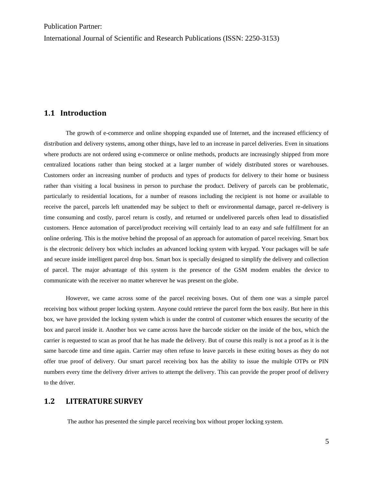International Journal of Scientific and Research Publications (ISSN: 2250-3153)

#### **1.1 Introduction**

The growth of e-commerce and online shopping expanded use of Internet, and the increased efficiency of distribution and delivery systems, among other things, have led to an increase in parcel deliveries. Even in situations where products are not ordered using e-commerce or online methods, products are increasingly shipped from more centralized locations rather than being stocked at a larger number of widely distributed stores or warehouses. Customers order an increasing number of products and types of products for delivery to their home or business rather than visiting a local business in person to purchase the product. Delivery of parcels can be problematic, particularly to residential locations, for a number of reasons including the recipient is not home or available to receive the parcel, parcels left unattended may be subject to theft or environmental damage, parcel re-delivery is time consuming and costly, parcel return is costly, and returned or undelivered parcels often lead to dissatisfied customers. Hence automation of parcel/product receiving will certainly lead to an easy and safe fulfillment for an online ordering. This is the motive behind the proposal of an approach for automation of parcel receiving. Smart box is the electronic delivery box which includes an advanced locking system with keypad. Your packages will be safe and secure inside intelligent parcel drop box. Smart box is specially designed to simplify the delivery and collection of parcel. The major advantage of this system is the presence of the GSM modem enables the device to communicate with the receiver no matter wherever he was present on the globe.

However, we came across some of the parcel receiving boxes. Out of them one was a simple parcel receiving box without proper locking system. Anyone could retrieve the parcel form the box easily. But here in this box, we have provided the locking system which is under the control of customer which ensures the security of the box and parcel inside it. Another box we came across have the barcode sticker on the inside of the box, which the carrier is requested to scan as proof that he has made the delivery. But of course this really is not a proof as it is the same barcode time and time again. Carrier may often refuse to leave parcels in these exiting boxes as they do not offer true proof of delivery. Our smart parcel receiving box has the ability to issue the multiple OTPs or PIN numbers every time the delivery driver arrives to attempt the delivery. This can provide the proper proof of delivery to the driver.

#### **1.2 LITERATURE SURVEY**

The author has presented the simple parcel receiving box without proper locking system.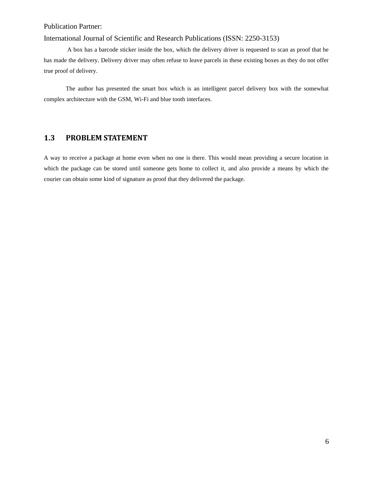#### International Journal of Scientific and Research Publications (ISSN: 2250-3153)

A box has a barcode sticker inside the box, which the delivery driver is requested to scan as proof that he has made the delivery. Delivery driver may often refuse to leave parcels in these existing boxes as they do not offer true proof of delivery.

The author has presented the smart box which is an intelligent parcel delivery box with the somewhat complex architecture with the GSM, Wi-Fi and blue tooth interfaces.

### **1.3 PROBLEM STATEMENT**

A way to receive a package at home even when no one is there. This would mean providing a secure location in which the package can be stored until someone gets home to collect it, and also provide a means by which the courier can obtain some kind of signature as proof that they delivered the package.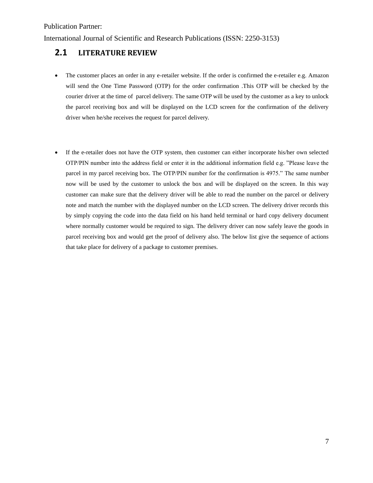International Journal of Scientific and Research Publications (ISSN: 2250-3153)

# **2.1 LITERATURE REVIEW**

- The customer places an order in any e-retailer website. If the order is confirmed the e-retailer e.g. Amazon will send the One Time Password (OTP) for the order confirmation .This OTP will be checked by the courier driver at the time of parcel delivery. The same OTP will be used by the customer as a key to unlock the parcel receiving box and will be displayed on the LCD screen for the confirmation of the delivery driver when he/she receives the request for parcel delivery.
- If the e-retailer does not have the OTP system, then customer can either incorporate his/her own selected OTP/PIN number into the address field or enter it in the additional information field e.g. "Please leave the parcel in my parcel receiving box. The OTP/PIN number for the confirmation is 4975." The same number now will be used by the customer to unlock the box and will be displayed on the screen. In this way customer can make sure that the delivery driver will be able to read the number on the parcel or delivery note and match the number with the displayed number on the LCD screen. The delivery driver records this by simply copying the code into the data field on his hand held terminal or hard copy delivery document where normally customer would be required to sign. The delivery driver can now safely leave the goods in parcel receiving box and would get the proof of delivery also. The below list give the sequence of actions that take place for delivery of a package to customer premises.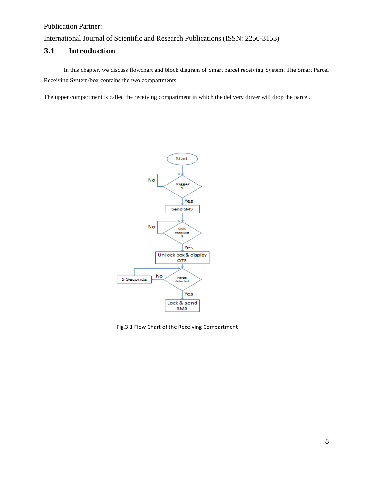International Journal of Scientific and Research Publications (ISSN: 2250-3153)

# **3.1 Introduction**

 In this chapter, we discuss flowchart and block diagram of Smart parcel receiving System. The Smart Parcel Receiving System/box contains the two compartments.

The upper compartment is called the receiving compartment in which the delivery driver will drop the parcel.



Fig.3.1 Flow Chart of the Receiving Compartment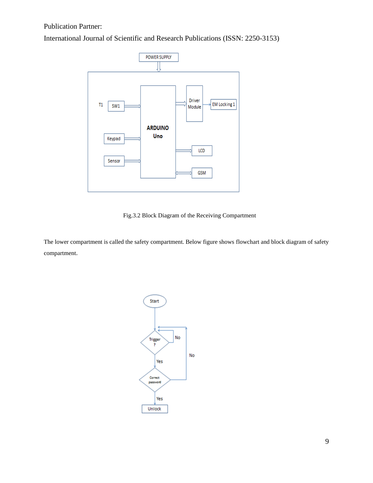International Journal of Scientific and Research Publications (ISSN: 2250-3153)



Fig.3.2 Block Diagram of the Receiving Compartment

The lower compartment is called the safety compartment. Below figure shows flowchart and block diagram of safety compartment.

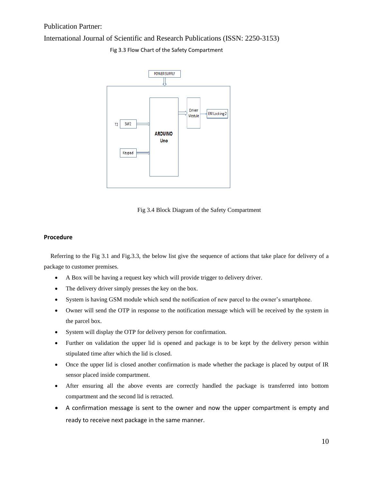#### International Journal of Scientific and Research Publications (ISSN: 2250-3153)



Fig 3.3 Flow Chart of the Safety Compartment

Fig 3.4 Block Diagram of the Safety Compartment

#### **Procedure**

Referring to the Fig 3.1 and Fig.3.3, the below list give the sequence of actions that take place for delivery of a package to customer premises.

- A Box will be having a request key which will provide trigger to delivery driver.
- The delivery driver simply presses the key on the box.
- System is having GSM module which send the notification of new parcel to the owner's smartphone.
- Owner will send the OTP in response to the notification message which will be received by the system in the parcel box.
- System will display the OTP for delivery person for confirmation.
- Further on validation the upper lid is opened and package is to be kept by the delivery person within stipulated time after which the lid is closed.
- Once the upper lid is closed another confirmation is made whether the package is placed by output of IR sensor placed inside compartment.
- After ensuring all the above events are correctly handled the package is transferred into bottom compartment and the second lid is retracted.
- A confirmation message is sent to the owner and now the upper compartment is empty and ready to receive next package in the same manner.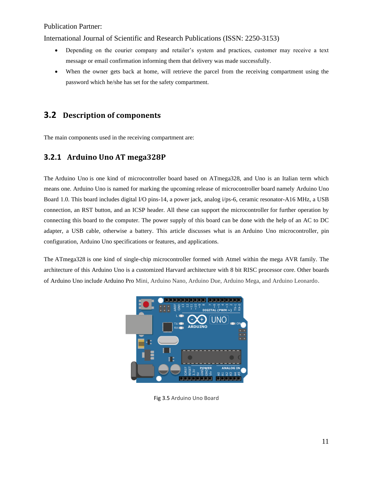International Journal of Scientific and Research Publications (ISSN: 2250-3153)

- Depending on the courier company and retailer's system and practices, customer may receive a text message or email confirmation informing them that delivery was made successfully.
- When the owner gets back at home, will retrieve the parcel from the receiving compartment using the password which he/she has set for the safety compartment.

# **3.2 Description of components**

The main components used in the receiving compartment are:

## **3.2.1 Arduino Uno AT mega328P**

The Arduino Uno is one kind of microcontroller board based on ATmega328, and Uno is an Italian term which means one. Arduino Uno is named for marking the upcoming release of microcontroller board namely Arduino Uno Board 1.0. This board includes digital I/O pins-14, a power jack, analog i/ps-6, ceramic resonator-A16 MHz, a USB connection, an RST button, and an ICSP header. All these can support the microcontroller for further operation by connecting this board to the computer. The power supply of this board can be done with the help of an AC to DC adapter, a USB cable, otherwise a battery. This article discusses what is an Arduino Uno [microcontroller,](https://www.elprocus.com/what-is-arduino-uno-r3-pin-diagram-specification-and-applications/) pin configuration, Arduino Uno specifications or features, and applications.

The ATmega328 is one kind of single-chip microcontroller formed with Atmel within the mega AVR family. The architecture of this Arduino Uno is a customized Harvard architecture with 8 bit RISC [processor](https://www.elprocus.com/difference-between-risc-and-cisc-architecture/) core. Other [boards](https://www.elprocus.com/different-types-of-arduino-boards/) of [Arduino](https://www.elprocus.com/different-types-of-arduino-boards/) Uno include Arduino Pro Mini, Arduino Nano, Arduino Due, Arduino Mega, and Arduino Leonardo.



Fig 3.5 Arduino Uno Board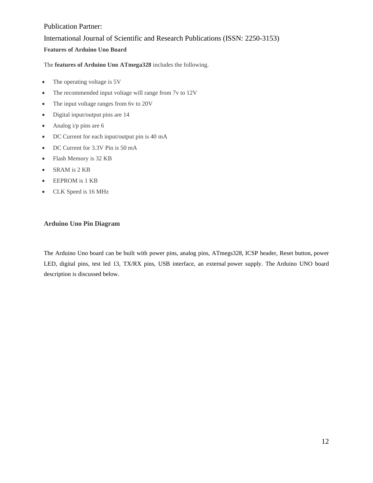# Publication Partner: International Journal of Scientific and Research Publications (ISSN: 2250-3153) **Features of Arduino Uno Board**

The **features of Arduino Uno ATmega328** includes the following.

- The operating voltage is 5V
- The recommended input voltage will range from 7v to 12V
- The input voltage ranges from 6v to 20V
- Digital input/output pins are 14
- Analog  $i/p$  pins are 6
- DC Current for each input/output pin is 40 mA
- DC Current for 3.3V Pin is 50 mA
- Flash Memory is 32 KB
- SRAM is 2 KB
- EEPROM is 1 KB
- CLK Speed is 16 MHz

#### **Arduino Uno Pin Diagram**

The Arduino Uno board can be built with power pins, analog pins, ATmegs328, ICSP header, Reset button, [power](https://www.elprocus.com/solar-powered-led-street-light-control-circuit/) [LED,](https://www.elprocus.com/solar-powered-led-street-light-control-circuit/) digital pins, test led 13, TX/RX pins, USB interface, an external power [supply.](https://www.elprocus.com/difference-between-single-phase-and-three-phase-ac-power-supply/) The Arduino UNO board description is discussed below.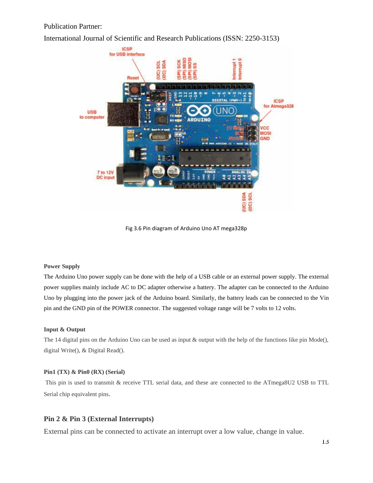International Journal of Scientific and Research Publications (ISSN: 2250-3153)



Fig 3.6 Pin diagram of Arduino Uno AT mega328p

#### **Power Supply**

The Arduino Uno power supply can be done with the help of a USB cable or an external power supply. The external power supplies mainly include AC to DC adapter otherwise a battery. The adapter can be connected to the Arduino Uno by plugging into the power jack of the Arduino board. Similarly, the battery leads can be connected to the Vin pin and the GND pin of the POWER connector. The suggested voltage range will be 7 volts to 12 volts.

#### **Input & Output**

The 14 digital pins on the Arduino Uno can be used as input & output with the help of the functions like pin Mode(), digital Write(), & Digital Read().

#### **Pin1 (TX) & Pin0 (RX) (Serial)**

This pin is used to transmit & receive TTL serial data, and these are connected to the ATmega8U2 USB to TTL Serial chip equivalent pins.

#### **Pin 2 & Pin 3 (External Interrupts)**

External pins can be connected to activate an interrupt over a low value, change in value.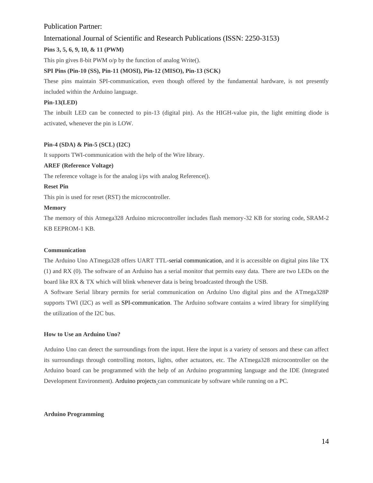#### International Journal of Scientific and Research Publications (ISSN: 2250-3153)

#### **Pins 3, 5, 6, 9, 10, & 11 (PWM)**

This pin gives 8-bit PWM o/p by the function of analog Write().

#### **SPI Pins (Pin-10 (SS), Pin-11 (MOSI), Pin-12 (MISO), Pin-13 (SCK)**

These pins maintain SPI-communication, even though offered by the fundamental hardware, is not presently included within the Arduino language.

#### **Pin-13(LED)**

The inbuilt LED can be connected to pin-13 (digital pin). As the HIGH-value pin, the light emitting diode is activated, whenever the pin is LOW.

#### **Pin-4 (SDA) & Pin-5 (SCL) (I2C)**

It supports TWI-communication with the help of the Wire library.

#### **AREF (Reference Voltage)**

The reference voltage is for the analog i/ps with analog Reference().

#### **Reset Pin**

This pin is used for reset (RST) the microcontroller.

#### **Memory**

The memory of this Atmega328 Arduino microcontroller includes flash memory-32 KB for storing code, SRAM-2 KB EEPROM-1 KB.

#### **Communication**

The Arduino Uno ATmega328 offers UART TTL-serial [communication,](https://www.elprocus.com/i2c-bus-protocol-tutorial-interface-applications/) and it is accessible on digital pins like TX (1) and RX (0). The software of an Arduino has a serial monitor that permits easy data. There are two LEDs on the board like RX & TX which will blink whenever data is being broadcasted through the USB.

A Software Serial library permits for serial communication on Arduino Uno digital pins and the ATmega328P supports TWI (I2C) as well as [SPI-communication.](https://www.elprocus.com/serial-peripheral-interface-spi-communication-protocol/) The Arduino software contains a wired library for simplifying the utilization of the I2C bus.

#### **How to Use an Arduino Uno?**

Arduino Uno can detect the surroundings from the input. Here the input is a variety of sensors and these can affect its surroundings through controlling motors, lights, other actuators, etc. The ATmega328 microcontroller on the Arduino board can be programmed with the help of an Arduino programming language and the IDE (Integrated Development Environment). Arduino projects can communicate by software while running on a PC.

#### **Arduino Programming**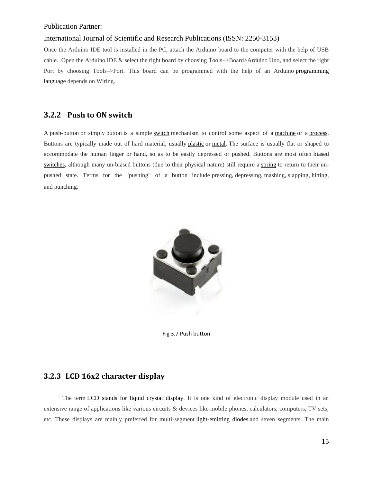#### International Journal of Scientific and Research Publications (ISSN: 2250-3153)

Once the Arduino IDE tool is installed in the PC, attach the Arduino board to the computer with the help of USB cable. Open the Arduino IDE & select the right board by choosing Tools–>Board>Arduino Uno, and select the right Port by choosing Tools–>Port. This board can be programmed with the help of an Arduino [programming](https://www.elprocus.com/8051-assembly-language-programming/) [language](https://www.elprocus.com/8051-assembly-language-programming/) depends on Wiring.

# **3.2.2 Push to ON switch**

A push-button or simply button is a simple [switch](https://en.wikipedia.org/wiki/Electrical_switch) mechanism to control some aspect of a [machine](https://en.wikipedia.org/wiki/Machine) or a [process.](https://en.wikipedia.org/wiki/Process_(engineering)) Buttons are typically made out of hard material, usually [plastic](https://en.wikipedia.org/wiki/Plastic) or [metal.](https://en.wikipedia.org/wiki/Metal) The surface is usually flat or shaped to accommodate the human finger or hand, so as to be easily depressed or pushed. Buttons are most often [biased](https://en.wikipedia.org/wiki/Switch#Biased_switches)  [switches,](https://en.wikipedia.org/wiki/Switch#Biased_switches) although many un-biased buttons (due to their physical nature) still require a [spring](https://en.wikipedia.org/wiki/Spring_(device)) to return to their unpushed state. Terms for the "pushing" of a button include pressing, depressing, mashing, slapping, hitting, and punching.



Fig 3.7 Push button

# **3.2.3 LCD 16x2 character display**

 The term LCD stands for liquid crystal [display.](https://www.elprocus.com/difference-alphanumeric-display-and-customized-lcd/) It is one kind of electronic display module used in an extensive range of applications like various circuits & devices like mobile phones, calculators, computers, TV sets, etc. These displays are mainly preferred for multi-segment [light-emitting](https://www.elprocus.com/light-emitting-diode-led-working-application/) diodes and seven segments. The main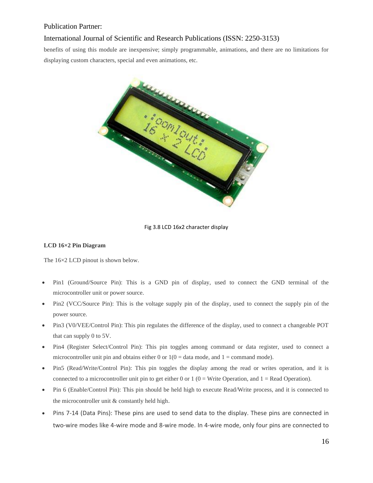#### International Journal of Scientific and Research Publications (ISSN: 2250-3153)

benefits of using this module are inexpensive; simply programmable, animations, and there are no limitations for displaying custom characters, special and even animations, etc.



#### Fig 3.8 LCD 16x2 character display

#### **LCD 16×2 Pin Diagram**

The  $16\times2$  LCD pinout is shown below.

- Pin1 (Ground/Source Pin): This is a GND pin of display, used to connect the GND terminal of the microcontroller unit or power source.
- Pin2 (VCC/Source Pin): This is the voltage supply pin of the display, used to connect the supply pin of the power source.
- Pin3 (V0/VEE/Control Pin): This pin regulates the difference of the display, used to connect a changeable POT that can supply 0 to 5V.
- Pin4 (Register Select/Control Pin): This pin toggles among command or data register, used to connect a microcontroller unit pin and obtains either 0 or  $1(0 = \text{data mode}, \text{and } 1 = \text{command mode}).$
- Pin5 (Read/Write/Control Pin): This pin toggles the display among the read or writes operation, and it is connected to a microcontroller unit pin to get either 0 or 1 ( $0 =$  Write Operation, and 1 = Read Operation).
- Pin 6 (Enable/Control Pin): This pin should be held high to execute Read/Write process, and it is connected to the microcontroller unit & constantly held high.
- Pins 7-14 (Data Pins): These pins are used to send data to the display. These pins are connected in two-wire modes like 4-wire mode and 8-wire mode. In 4-wire mode, only four pins are connected to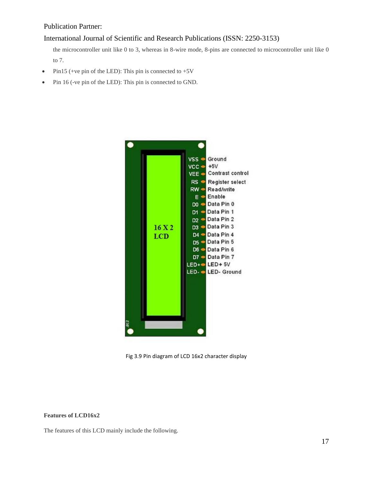#### International Journal of Scientific and Research Publications (ISSN: 2250-3153)

the microcontroller unit like 0 to 3, whereas in 8-wire mode, 8-pins are connected to microcontroller unit like 0 to 7.

- Pin15 (+ve pin of the LED): This pin is connected to  $+5V$
- Pin 16 (-ve pin of the LED): This pin is connected to GND.



Fig 3.9 Pin diagram of LCD 16x2 character display

#### **Features of LCD16x2**

The features of this LCD mainly include the following.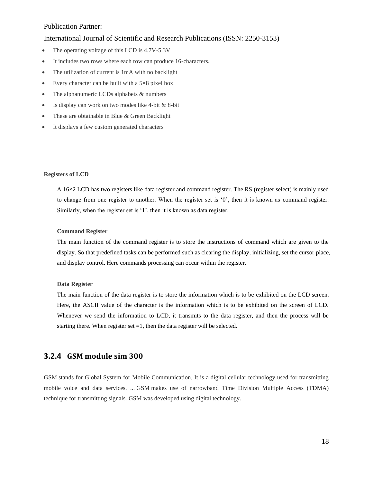#### International Journal of Scientific and Research Publications (ISSN: 2250-3153)

- The operating voltage of this LCD is 4.7V-5.3V
- It includes two rows where each row can produce 16-characters.
- The utilization of current is 1mA with no backlight
- Every character can be built with a  $5\times8$  pixel box
- The alphanumeric LCDs alphabets & numbers
- Is display can work on two modes like 4-bit & 8-bit
- These are obtainable in Blue & Green Backlight
- It displays a few custom generated characters

#### **Registers of LCD**

A 16×2 LCD has two [registers](https://www.elprocus.com/know-about-types-of-registers-in-8051-microcontroller/) like data register and command register. The RS (register select) is mainly used to change from one register to another. When the register set is '0', then it is known as command register. Similarly, when the register set is '1', then it is known as data register.

#### **Command Register**

The main function of the command register is to store the instructions of command which are given to the display. So that predefined tasks can be performed such as clearing the display, initializing, set the cursor place, and display control. Here commands processing can occur within the register.

#### **Data Register**

The main function of the data register is to store the information which is to be exhibited on the LCD screen. Here, the ASCII value of the character is the information which is to be exhibited on the screen of LCD. Whenever we send the information to LCD, it transmits to the data register, and then the process will be starting there. When register set  $=1$ , then the data register will be selected.

#### **3.2.4 GSM module sim 300**

GSM stands for Global System for Mobile Communication. It is a digital cellular technology used for transmitting mobile voice and data services. ... GSM makes use of narrowband Time Division Multiple Access (TDMA) technique for transmitting signals. GSM was developed using digital technology.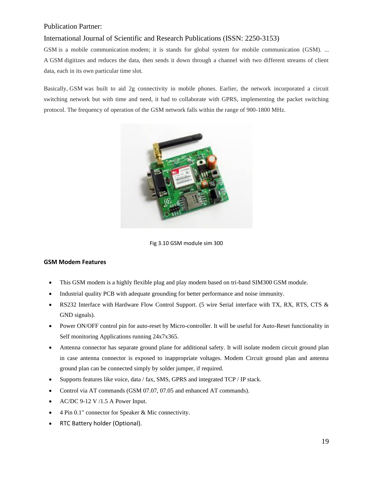#### International Journal of Scientific and Research Publications (ISSN: 2250-3153)

GSM is a mobile communication modem; it is stands for global system for mobile communication (GSM). ... A GSM digitizes and reduces the data, then sends it down through a channel with two different streams of client data, each in its own particular time slot.

Basically, GSM was built to aid 2g connectivity in mobile phones. Earlier, the network incorporated a circuit switching network but with time and need, it had to collaborate with GPRS, implementing the packet switching protocol. The frequency of operation of the GSM network falls within the range of 900-1800 MHz.



Fig 3.10 GSM module sim 300

#### **GSM Modem Features**

- This GSM modem is a highly flexible plug and play modem based on tri-band SIM300 GSM module.
- Industrial quality PCB with adequate grounding for better performance and noise immunity.
- RS232 Interface with Hardware Flow Control Support. (5 wire Serial interface with TX, RX, RTS, CTS & GND signals).
- Power ON/OFF control pin for auto-reset by Micro-controller. It will be useful for Auto-Reset functionality in Self monitoring Applications running 24x7x365.
- Antenna connector has separate ground plane for additional safety. It will isolate modem circuit ground plan in case antenna connector is exposed to inappropriate voltages. Modem Circuit ground plan and antenna ground plan can be connected simply by solder jumper, if required.
- Supports features like voice, data / fax, SMS, GPRS and integrated TCP / IP stack.
- Control via AT commands (GSM 07.07, 07.05 and enhanced AT commands).
- AC/DC 9-12 V /1.5 A Power Input.
- 4 Pin 0.1" connector for Speaker & Mic connectivity.
- RTC Battery holder (Optional).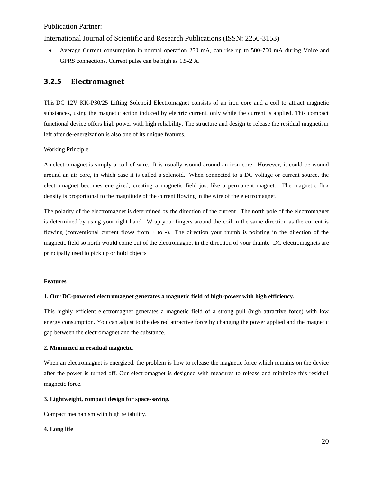International Journal of Scientific and Research Publications (ISSN: 2250-3153)

• Average Current consumption in normal operation 250 mA, can rise up to 500-700 mA during Voice and GPRS connections. Current pulse can be high as 1.5-2 A.

## **3.2.5 Electromagnet**

This DC 12V KK-P30/25 Lifting Solenoid Electromagnet consists of an iron core and a coil to attract magnetic substances, using the magnetic action induced by electric current, only while the current is applied. This compact functional device offers high power with high reliability. The structure and design to release the residual magnetism left after de-energization is also one of its unique features.

Working Principle

An electromagnet is simply a coil of wire. It is usually wound around an iron core. However, it could be wound around an air core, in which case it is called a solenoid. When connected to a DC voltage or current source, the electromagnet becomes energized, creating a magnetic field just like a permanent magnet. The magnetic flux density is proportional to the magnitude of the current flowing in the wire of the electromagnet.

The polarity of the electromagnet is determined by the direction of the current. The north pole of the electromagnet is determined by using your right hand. Wrap your fingers around the coil in the same direction as the current is flowing (conventional current flows from  $+$  to  $-$ ). The direction your thumb is pointing in the direction of the magnetic field so north would come out of the electromagnet in the direction of your thumb. DC electromagnets are principally used to pick up or hold objects

#### **Features**

#### **1. Our DC-powered electromagnet generates a magnetic field of high-power with high efficiency.**

This highly efficient electromagnet generates a magnetic field of a strong pull (high attractive force) with low energy consumption. You can adjust to the desired attractive force by changing the power applied and the magnetic gap between the electromagnet and the substance.

#### **2. Minimized in residual magnetic.**

When an electromagnet is energized, the problem is how to release the magnetic force which remains on the device after the power is turned off. Our electromagnet is designed with measures to release and minimize this residual magnetic force.

#### **3. Lightweight, compact design for space-saving.**

Compact mechanism with high reliability.

#### **4. Long life**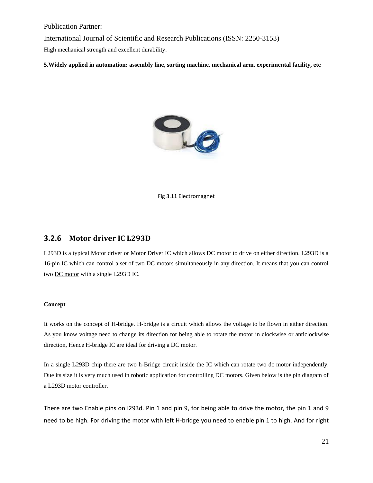International Journal of Scientific and Research Publications (ISSN: 2250-3153)

High mechanical strength and excellent durability.

**5.Widely applied in automation: assembly line, sorting machine, mechanical arm, experimental facility, etc**



Fig 3.11 Electromagnet

#### **3.2.6 Motor driver IC L293D**

L293D is a typical Motor driver or Motor Driver IC which allows DC motor to drive on either direction. L293D is a 16-pin IC which can control a set of two DC motors simultaneously in any direction. It means that you can control two [DC motor](https://www.rakeshmondal.info/High-Torque-Motor-Low-RPM-Motor) with a single L293D IC.

#### **Concept**

It works on the concept of H-bridge. H-bridge is a circuit which allows the voltage to be flown in either direction. As you know voltage need to change its direction for being able to rotate the motor in clockwise or anticlockwise direction, Hence H-bridge IC are ideal for driving a DC motor.

In a single L293D chip there are two h-Bridge circuit inside the IC which can rotate two dc motor independently. Due its size it is very much used in robotic application for controlling DC motors. Given below is the pin diagram of a L293D motor controller.

There are two Enable pins on l293d. Pin 1 and pin 9, for being able to drive the motor, the pin 1 and 9 need to be high. For driving the motor with left H-bridge you need to enable pin 1 to high. And for right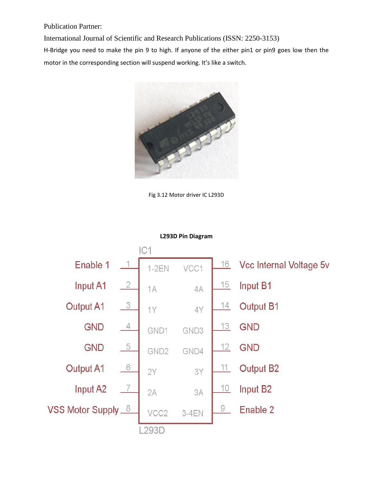International Journal of Scientific and Research Publications (ISSN: 2250-3153)

H-Bridge you need to make the pin 9 to high. If anyone of the either pin1 or pin9 goes low then the motor in the corresponding section will suspend working. It's like a switch.



Fig 3.12 Motor driver IC L293D



#### **L293D Pin Diagram**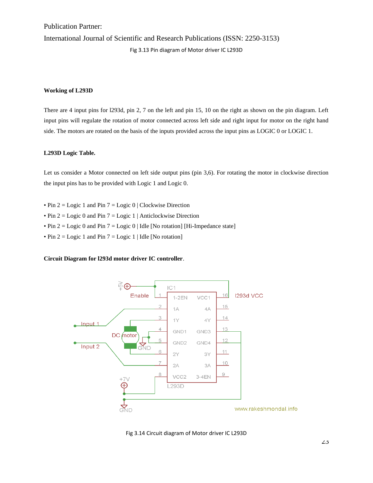International Journal of Scientific and Research Publications (ISSN: 2250-3153)

Fig 3.13 Pin diagram of Motor driver IC L293D

#### **Working of L293D**

There are 4 input pins for l293d, pin 2, 7 on the left and pin 15, 10 on the right as shown on the pin diagram. Left input pins will regulate the rotation of motor connected across left side and right input for motor on the right hand side. The motors are rotated on the basis of the inputs provided across the input pins as LOGIC 0 or LOGIC 1.

#### **L293D Logic Table.**

Let us consider a Motor connected on left side output pins (pin 3,6). For rotating the motor in clockwise direction the input pins has to be provided with Logic 1 and Logic 0.

- Pin  $2 = \text{Logic 1}$  and Pin  $7 = \text{Logic 0}$  | Clockwise Direction
- Pin  $2 = \text{Logic 0}$  and Pin  $7 = \text{Logic 1}$  | Anticlockwise Direction
- Pin  $2 = \text{Logic 0}$  and Pin  $7 = \text{Logic 0}$  | Idle [No rotation] [Hi-Impedance state]
- Pin  $2 = \text{Logic 1}$  and Pin  $7 = \text{Logic 1}$  | Idle [No rotation]

#### **Circuit Diagram for l293d motor driver IC controller**.



Fig 3.14 Circuit diagram of Motor driver IC L293D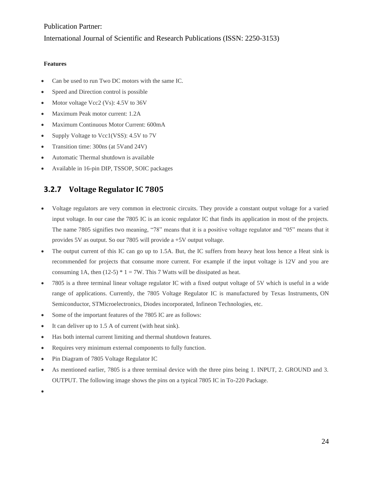#### International Journal of Scientific and Research Publications (ISSN: 2250-3153)

#### **Features**

- Can be used to run Two DC motors with the same IC.
- Speed and Direction control is possible
- Motor voltage Vcc2 (Vs): 4.5V to 36V
- Maximum Peak motor current: 1.2A
- Maximum Continuous Motor Current: 600mA
- Supply Voltage to Vcc1(VSS): 4.5V to 7V
- Transition time: 300ns (at 5Vand 24V)
- Automatic Thermal shutdown is available
- Available in 16-pin DIP, TSSOP, SOIC packages

# **3.2.7 Voltage Regulator IC 7805**

- Voltage regulators are very common in electronic circuits. They provide a constant output voltage for a varied input voltage. In our case the 7805 IC is an iconic regulator IC that finds its application in most of the projects. The name 7805 signifies two meaning, "78" means that it is a positive voltage regulator and "05" means that it provides 5V as output. So our 7805 will provide a +5V output voltage.
- The output current of this IC can go up to 1.5A. But, the IC suffers from heavy heat loss hence a Heat sink is recommended for projects that consume more current. For example if the input voltage is 12V and you are consuming 1A, then (12-5)  $*$  1 = 7W. This 7 Watts will be dissipated as heat.
- 7805 is a three terminal linear voltage regulator IC with a fixed output voltage of 5V which is useful in a wide range of applications. Currently, the 7805 Voltage Regulator IC is manufactured by Texas Instruments, ON Semiconductor, STMicroelectronics, Diodes incorporated, Infineon Technologies, etc.
- Some of the important features of the 7805 IC are as follows:
- It can deliver up to 1.5 A of current (with heat sink).
- Has both internal current limiting and thermal shutdown features.
- Requires very minimum external components to fully function.
- Pin Diagram of 7805 Voltage Regulator IC
- As mentioned earlier, 7805 is a three terminal device with the three pins being 1. INPUT, 2. GROUND and 3. OUTPUT. The following image shows the pins on a typical 7805 IC in To-220 Package.

•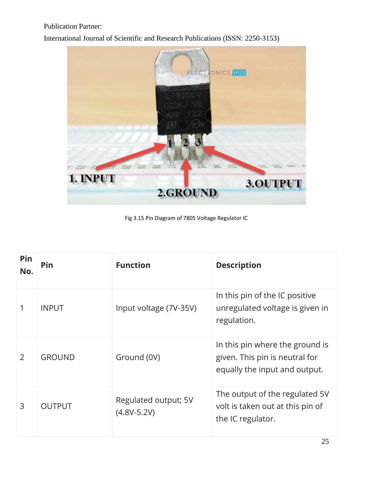International Journal of Scientific and Research Publications (ISSN: 2250-3153)



Fig 3.15 Pin Diagram of 7805 Voltage Regulator IC

| Pin<br>No. | Pin           | <b>Function</b>                         | <b>Description</b>                                                                                 |
|------------|---------------|-----------------------------------------|----------------------------------------------------------------------------------------------------|
|            | <b>INPUT</b>  | Input voltage (7V-35V)                  | In this pin of the IC positive<br>unregulated voltage is given in<br>regulation.                   |
| 2          | <b>GROUND</b> | Ground (0V)                             | In this pin where the ground is<br>given. This pin is neutral for<br>equally the input and output. |
| 3          | <b>OUTPUT</b> | Regulated output; 5V<br>$(4.8V - 5.2V)$ | The output of the regulated 5V<br>volt is taken out at this pin of<br>the IC regulator.            |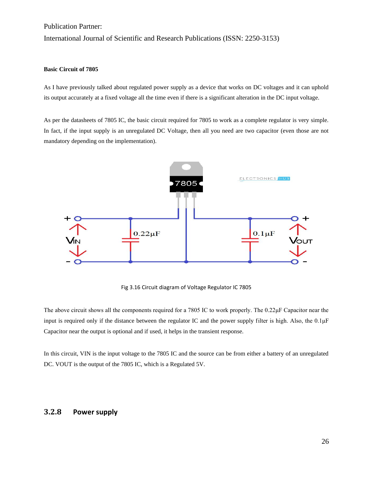International Journal of Scientific and Research Publications (ISSN: 2250-3153)

#### **Basic Circuit of 7805**

As I have previously talked about regulated power supply as a device that works on DC voltages and it can uphold its output accurately at a fixed voltage all the time even if there is a significant alteration in the DC input voltage.

As per the datasheets of 7805 IC, the basic circuit required for 7805 to work as a complete regulator is very simple. In fact, if the input supply is an unregulated DC Voltage, then all you need are two capacitor (even those are not mandatory depending on the implementation).



Fig 3.16 Circuit diagram of Voltage Regulator IC 7805

The above circuit shows all the components required for a 7805 IC to work properly. The 0.22μF Capacitor near the input is required only if the distance between the regulator IC and the power supply filter is high. Also, the 0.1μF Capacitor near the output is optional and if used, it helps in the transient response.

In this circuit, VIN is the input voltage to the 7805 IC and the source can be from either a battery of an unregulated DC. VOUT is the output of the 7805 IC, which is a Regulated 5V.

#### **3.2.8 Power supply**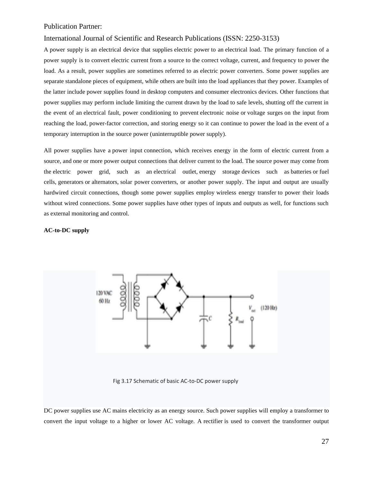#### International Journal of Scientific and Research Publications (ISSN: 2250-3153)

A power supply is an electrical device that supplies [electric power](https://en.wikipedia.org/wiki/Electric_power) to an [electrical load.](https://en.wikipedia.org/wiki/Electrical_load) The primary function of a power supply is to convert [electric current](https://en.wikipedia.org/wiki/Electric_current) from a source to the correct [voltage,](https://en.wikipedia.org/wiki/Voltage) [current,](https://en.wikipedia.org/wiki/Electric_current) and [frequency](https://en.wikipedia.org/wiki/Frequency) to power the load. As a result, power supplies are sometimes referred to as [electric power converters.](https://en.wikipedia.org/wiki/Electric_power_converter) Some power supplies are separate standalone pieces of equipment, while others are built into the load appliances that they power. Examples of the latter include power supplies found in [desktop computers](https://en.wikipedia.org/wiki/Desktop_computer) and [consumer electronics](https://en.wikipedia.org/wiki/Consumer_electronics) devices. Other functions that power supplies may perform include limiting the current drawn by the load to safe levels, shutting off the current in the event of an [electrical fault,](https://en.wikipedia.org/wiki/Electrical_fault) power conditioning to prevent [electronic noise](https://en.wikipedia.org/wiki/Electronic_noise) or [voltage surges](https://en.wikipedia.org/wiki/Voltage_surge) on the input from reaching the load, [power-factor correction,](https://en.wikipedia.org/wiki/Power-factor_correction) and storing energy so it can continue to power the load in the event of a temporary interruption in the source power [\(uninterruptible power supply\)](https://en.wikipedia.org/wiki/Uninterruptible_power_supply).

All power supplies have a power input connection, which receives energy in the form of electric current from a source, and one or more power output connections that deliver current to the load. The source power may come from the [electric power grid,](https://en.wikipedia.org/wiki/Electric_power_grid) such as an [electrical outlet,](https://en.wikipedia.org/wiki/Electrical_outlet) [energy storage](https://en.wikipedia.org/wiki/Energy_storage) devices such as [batteries](https://en.wikipedia.org/wiki/Battery_(electricity)) or [fuel](https://en.wikipedia.org/wiki/Fuel_cell)  [cells,](https://en.wikipedia.org/wiki/Fuel_cell) [generators](https://en.wikipedia.org/wiki/Electrical_generators) or [alternators,](https://en.wikipedia.org/wiki/Alternator) [solar power](https://en.wikipedia.org/wiki/Solar_power) converters, or another power supply. The input and output are usually hardwired circuit connections, though some power supplies employ [wireless energy transfer](https://en.wikipedia.org/wiki/Wireless_power) to power their loads without wired connections. Some power supplies have other types of inputs and outputs as well, for functions such as external monitoring and control.

#### **AC-to-DC supply**



Fig 3.17 Schematic of basic AC-to-DC power supply

DC power supplies use AC [mains electricity](https://en.wikipedia.org/wiki/Mains_electricity) as an energy source. Such power supplies will employ a [transformer](https://en.wikipedia.org/wiki/Transformer) to convert the input voltage to a higher or lower AC voltage. A [rectifier](https://en.wikipedia.org/wiki/Rectifier) is used to convert the transformer output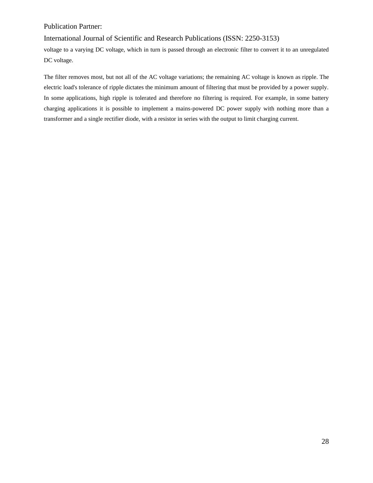International Journal of Scientific and Research Publications (ISSN: 2250-3153)

voltage to a varying DC voltage, which in turn is passed through an [electronic filter](https://en.wikipedia.org/wiki/Electronic_filter) to convert it to an unregulated DC voltage.

The filter removes most, but not all of the AC voltage variations; the remaining AC voltage is known as ripple. The electric load's tolerance of ripple dictates the minimum amount of filtering that must be provided by a power supply. In some applications, high ripple is tolerated and therefore no filtering is required. For example, in some battery charging applications it is possible to implement a mains-powered DC power supply with nothing more than a transformer and a single rectifier diode, with a resistor in series with the output to limit charging current.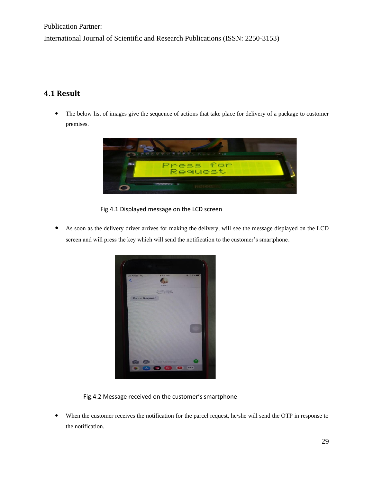International Journal of Scientific and Research Publications (ISSN: 2250-3153)

# **4.1 Result**

 The below list of images give the sequence of actions that take place for delivery of a package to customer premises.



Fig.4.1 Displayed message on the LCD screen

 As soon as the delivery driver arrives for making the delivery, will see the message displayed on the LCD screen and will press the key which will send the notification to the customer's smartphone.



Fig.4.2 Message received on the customer's smartphone

 When the customer receives the notification for the parcel request, he/she will send the OTP in response to the notification.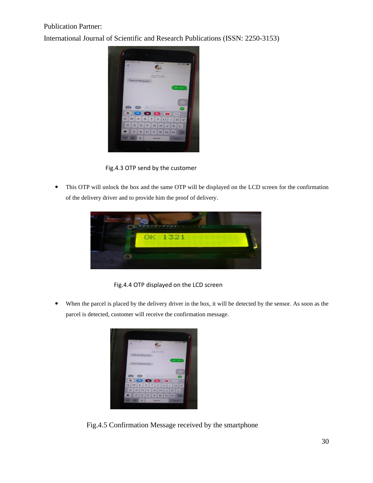International Journal of Scientific and Research Publications (ISSN: 2250-3153)



Fig.4.3 OTP send by the customer

 This OTP will unlock the box and the same OTP will be displayed on the LCD screen for the confirmation of the delivery driver and to provide him the proof of delivery.



Fig.4.4 OTP displayed on the LCD screen

 When the parcel is placed by the delivery driver in the box, it will be detected by the sensor. As soon as the parcel is detected, customer will receive the confirmation message.



Fig.4.5 Confirmation Message received by the smartphone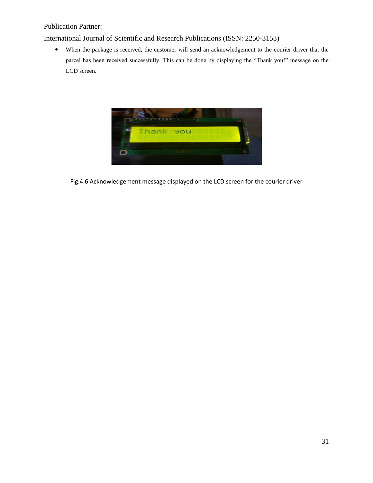International Journal of Scientific and Research Publications (ISSN: 2250-3153)

 When the package is received, the customer will send an acknowledgement to the courier driver that the parcel has been received successfully. This can be done by displaying the "Thank you!" message on the LCD screen.



Fig.4.6 Acknowledgement message displayed on the LCD screen for the courier driver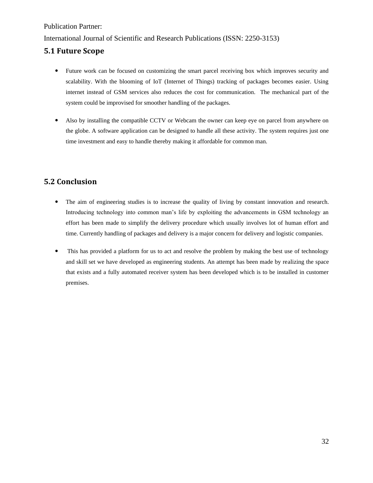#### International Journal of Scientific and Research Publications (ISSN: 2250-3153)

## **5.1 Future Scope**

- Future work can be focused on customizing the smart parcel receiving box which improves security and scalability. With the blooming of IoT (Internet of Things) tracking of packages becomes easier. Using internet instead of GSM services also reduces the cost for communication. The mechanical part of the system could be improvised for smoother handling of the packages.
- Also by installing the compatible CCTV or Webcam the owner can keep eye on parcel from anywhere on the globe. A software application can be designed to handle all these activity. The system requires just one time investment and easy to handle thereby making it affordable for common man.

# **5.2 Conclusion**

- The aim of engineering studies is to increase the quality of living by constant innovation and research. Introducing technology into common man's life by exploiting the advancements in GSM technology an effort has been made to simplify the delivery procedure which usually involves lot of human effort and time. Currently handling of packages and delivery is a major concern for delivery and logistic companies.
- This has provided a platform for us to act and resolve the problem by making the best use of technology and skill set we have developed as engineering students. An attempt has been made by realizing the space that exists and a fully automated receiver system has been developed which is to be installed in customer premises.